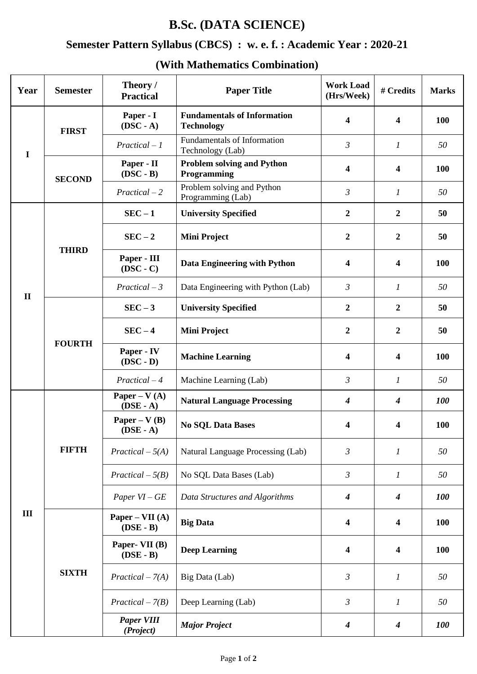## **B.Sc. (DATA SCIENCE)**

### **Semester Pattern Syllabus (CBCS) : w. e. f. : Academic Year : 2020-21**

#### **Year Semester Theory** / **Paper Title Paper Title Paper Title Paper Title Paper Title Work Load Work Load** # Credits Marks **I FIRST Paper - I (DSC - A) Fundamentals of Information Technology <sup>4</sup> <sup>4</sup> <sup>100</sup>** *Practical – 1* Fundamentals of Information Technology (Lab) *<sup>3</sup> <sup>1</sup> <sup>50</sup>* **SECOND Paper - II (DSC - B) Problem solving and Python Programming 1.000 <b>4 4 100 4 100** *Practical – 2* Problem solving and Python Programming (Lab) **3 1** 50<br>Programming (Lab) **II THIRD SEC – 1 University Specified 2 2 50 SEC – 2 Mini Project 2 2 50 Paper - III (DSC - C) Data Engineering with Python**  $\begin{vmatrix} 4 & 4 \end{vmatrix}$  **4 <b>100** *Practical – 3* Data Engineering with Python (Lab) *3 1 50* **FOURTH SEC – 3 University Specified 2 2 50 SEC – 4 Mini Project 2 2 50 Paper - IV (DSC - D) Machine Learning <sup>4</sup> <sup>4</sup> <sup>100</sup>** *Practical – 4* Machine Learning (Lab) *3 1 50* **III FIFTH Paper – V (A) (DSE - A) Natural Language Processing** *<sup>4</sup> <sup>4</sup> <sup>100</sup>* **Paper – V (B) (DSE - A) No SQL Data Bases <sup>4</sup> <sup>4</sup> <sup>100</sup>** *Practical*  $-5(A)$  Natural Language Processing (Lab)  $3 \t 1 \t 50$ *Practical*  $-5(B)$  No SQL Data Bases (Lab)  $3 \t 1 \t 50$ *Paper VI – GE Data Structures and Algorithms 4 4 100* **SIXTH Paper – VII (A) (DSE - B) Big Data <sup>4</sup> <sup>4</sup> <sup>100</sup> Paper- VII (B) (DSE - B) Deep Learning <sup>4</sup> <sup>4</sup> <sup>100</sup>** *Practical – 7(A)* Big Data (Lab) *3 1 50 Practical – 7(B)* Deep Learning (Lab) *3 1 50 Paper VIII (Project) Major Project <sup>4</sup> <sup>4</sup> <sup>100</sup>*

#### **(With Mathematics Combination)**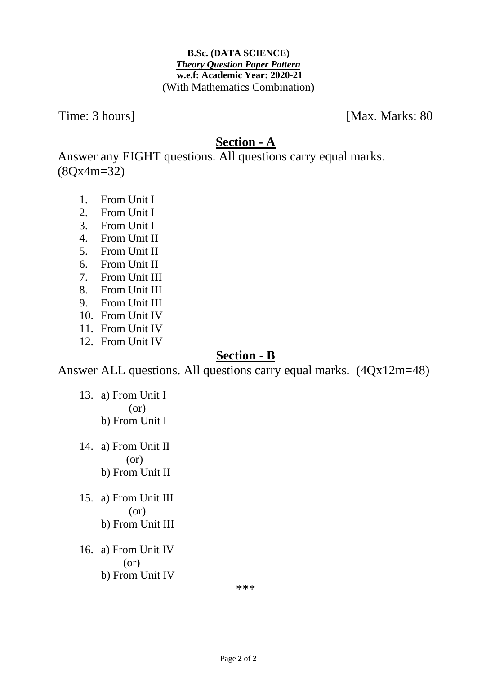#### **B.Sc. (DATA SCIENCE)** *Theory Question Paper Pattern* **w.e.f: Academic Year: 2020-21** (With Mathematics Combination)

Time: 3 hours] [Max. Marks: 80]

## **Section - A**

Answer any EIGHT questions. All questions carry equal marks. (8Qx4m=32)

- 1. From Unit I
- 2. From Unit I
- 3. From Unit I
- 4. From Unit II
- 5. From Unit II
- 6. From Unit II
- 7. From Unit III
- 8. From Unit III
- 9. From Unit III
- 10. From Unit IV
- 11. From Unit IV
- 12. From Unit IV

# **Section - B**

Answer ALL questions. All questions carry equal marks. (4Qx12m=48)

- 13. a) From Unit I (or) b) From Unit I
- 14. a) From Unit II (or) b) From Unit II
- 15. a) From Unit III (or) b) From Unit III
- 16. a) From Unit IV (or) b) From Unit IV

\*\*\*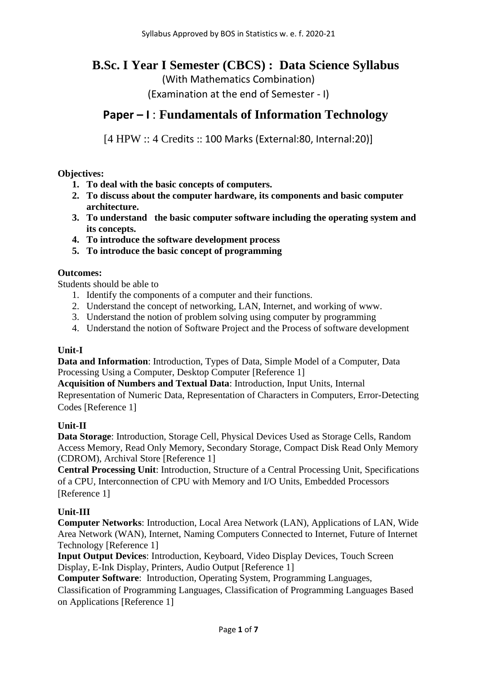## **B.Sc. I Year I Semester (CBCS) : Data Science Syllabus**

(With Mathematics Combination)

(Examination at the end of Semester - I)

### **Paper – I** : **Fundamentals of Information Technology**

[4 HPW :: 4 Credits :: 100 Marks (External:80, Internal:20)]

**Objectives:**

- **1. To deal with the basic concepts of computers.**
- **2. To discuss about the computer hardware, its components and basic computer architecture.**
- **3. To understand the basic computer software including the operating system and its concepts.**
- **4. To introduce the software development process**
- **5. To introduce the basic concept of programming**

#### **Outcomes:**

Students should be able to

- 1. Identify the components of a computer and their functions.
- 2. Understand the concept of networking, LAN, Internet, and working of www.
- 3. Understand the notion of problem solving using computer by programming
- 4. Understand the notion of Software Project and the Process of software development

### **Unit-I**

**Data and Information**: Introduction, Types of Data, Simple Model of a Computer, Data Processing Using a Computer, Desktop Computer [Reference 1]

**Acquisition of Numbers and Textual Data**: Introduction, Input Units, Internal Representation of Numeric Data, Representation of Characters in Computers, Error-Detecting Codes [Reference 1]

#### **Unit-II**

**Data Storage**: Introduction, Storage Cell, Physical Devices Used as Storage Cells, Random Access Memory, Read Only Memory, Secondary Storage, Compact Disk Read Only Memory (CDROM), Archival Store [Reference 1]

**Central Processing Unit**: Introduction, Structure of a Central Processing Unit, Specifications of a CPU, Interconnection of CPU with Memory and I/O Units, Embedded Processors [Reference 1]

### **Unit-III**

**Computer Networks**: Introduction, Local Area Network (LAN), Applications of LAN, Wide Area Network (WAN), Internet, Naming Computers Connected to Internet, Future of Internet Technology [Reference 1]

**Input Output Devices**: Introduction, Keyboard, Video Display Devices, Touch Screen Display, E-Ink Display, Printers, Audio Output [Reference 1]

**Computer Software**: Introduction, Operating System, Programming Languages,

Classification of Programming Languages, Classification of Programming Languages Based on Applications [Reference 1]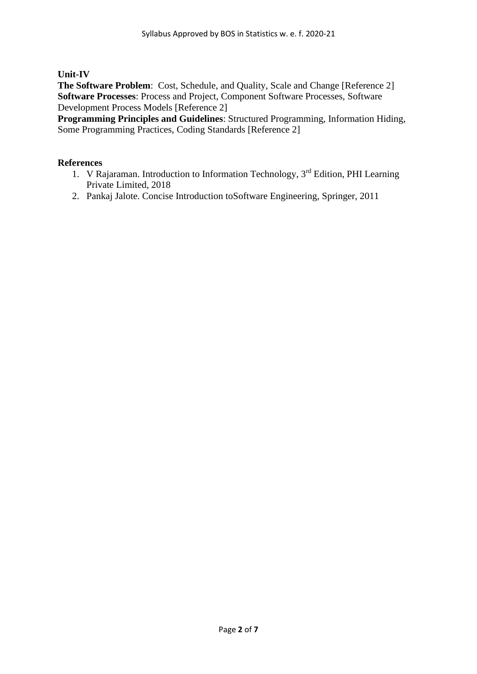**Unit-IV**

**The Software Problem**: Cost, Schedule, and Quality, Scale and Change [Reference 2] **Software Processes**: Process and Project, Component Software Processes, Software Development Process Models [Reference 2]

**Programming Principles and Guidelines**: Structured Programming, Information Hiding, Some Programming Practices, Coding Standards [Reference 2]

#### **References**

- 1. V Rajaraman. Introduction to Information Technology, 3<sup>rd</sup> Edition, PHI Learning Private Limited, 2018
- 2. Pankaj Jalote. Concise Introduction toSoftware Engineering, Springer, 2011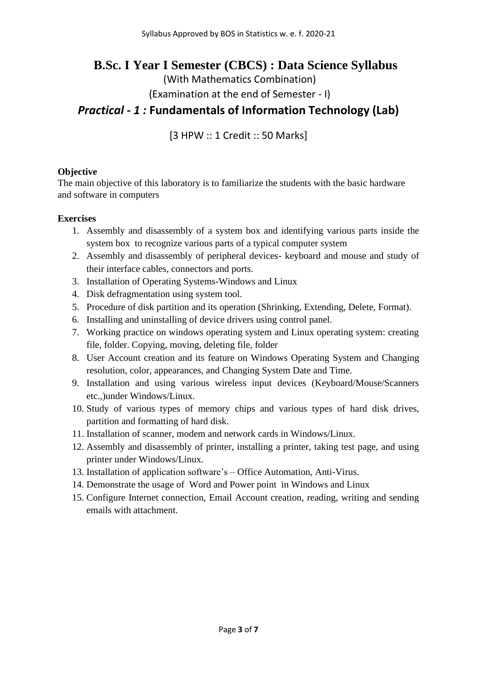## **B.Sc. I Year I Semester (CBCS) : Data Science Syllabus**

(With Mathematics Combination)

(Examination at the end of Semester - I)

## *Practical - 1 :* **Fundamentals of Information Technology (Lab)**

[3 HPW :: 1 Credit :: 50 Marks]

#### **Objective**

The main objective of this laboratory is to familiarize the students with the basic hardware and software in computers

#### **Exercises**

- 1. Assembly and disassembly of a system box and identifying various parts inside the system box to recognize various parts of a typical computer system
- 2. Assembly and disassembly of peripheral devices- keyboard and mouse and study of their interface cables, connectors and ports.
- 3. Installation of Operating Systems-Windows and Linux
- 4. Disk defragmentation using system tool.
- 5. Procedure of disk partition and its operation (Shrinking, Extending, Delete, Format).
- 6. Installing and uninstalling of device drivers using control panel.
- 7. Working practice on windows operating system and Linux operating system: creating file, folder. Copying, moving, deleting file, folder
- 8. User Account creation and its feature on Windows Operating System and Changing resolution, color, appearances, and Changing System Date and Time.
- 9. Installation and using various wireless input devices (Keyboard/Mouse/Scanners etc.,)under Windows/Linux.
- 10. Study of various types of memory chips and various types of hard disk drives, partition and formatting of hard disk.
- 11. Installation of scanner, modem and network cards in Windows/Linux.
- 12. Assembly and disassembly of printer, installing a printer, taking test page, and using printer under Windows/Linux.
- 13. Installation of application software's Office Automation, Anti-Virus.
- 14. Demonstrate the usage of Word and Power point in Windows and Linux
- 15. Configure Internet connection, Email Account creation, reading, writing and sending emails with attachment.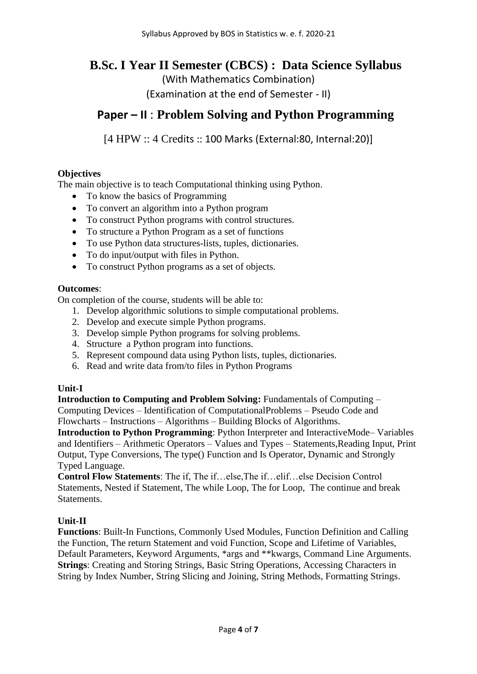## **B.Sc. I Year II Semester (CBCS) : Data Science Syllabus**

(With Mathematics Combination)

(Examination at the end of Semester - II)

## **Paper – II** : **Problem Solving and Python Programming**

[4 HPW :: 4 Credits :: 100 Marks (External:80, Internal:20)]

### **Objectives**

The main objective is to teach Computational thinking using Python.

- To know the basics of Programming
- To convert an algorithm into a Python program
- To construct Python programs with control structures.
- To structure a Python Program as a set of functions
- To use Python data structures-lists, tuples, dictionaries.
- To do input/output with files in Python.
- To construct Python programs as a set of objects.

#### **Outcomes**:

On completion of the course, students will be able to:

- 1. Develop algorithmic solutions to simple computational problems.
- 2. Develop and execute simple Python programs.
- 3. Develop simple Python programs for solving problems.
- 4. Structure a Python program into functions.
- 5. Represent compound data using Python lists, tuples, dictionaries.
- 6. Read and write data from/to files in Python Programs

### **Unit-I**

**Introduction to Computing and Problem Solving: Fundamentals of Computing –** Computing Devices – Identification of ComputationalProblems – Pseudo Code and Flowcharts – Instructions – Algorithms – Building Blocks of Algorithms.

**Introduction to Python Programming**: Python Interpreter and InteractiveMode– Variables and Identifiers – Arithmetic Operators – Values and Types – Statements,Reading Input, Print Output, Type Conversions, The type() Function and Is Operator, Dynamic and Strongly Typed Language.

**Control Flow Statements**: The if, The if…else,The if…elif…else Decision Control Statements, Nested if Statement, The while Loop, The for Loop, The continue and break **Statements** 

### **Unit-II**

**Functions**: Built-In Functions, Commonly Used Modules, Function Definition and Calling the Function, The return Statement and void Function, Scope and Lifetime of Variables, Default Parameters, Keyword Arguments, \*args and \*\*kwargs, Command Line Arguments. **Strings**: Creating and Storing Strings, Basic String Operations, Accessing Characters in String by Index Number, String Slicing and Joining, String Methods, Formatting Strings.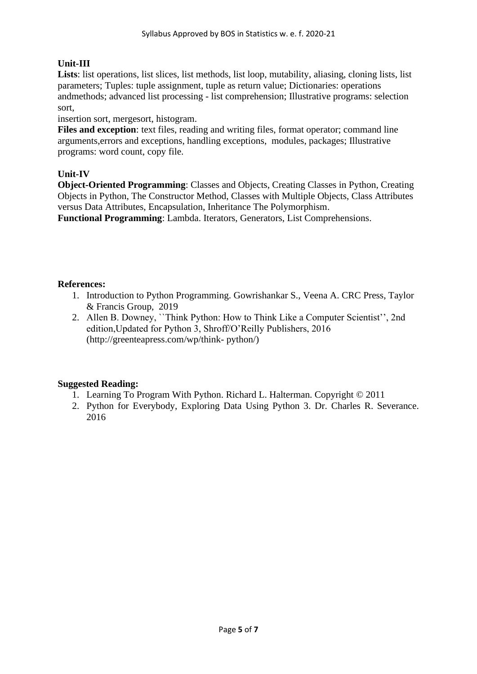### **Unit-III**

Lists: list operations, list slices, list methods, list loop, mutability, aliasing, cloning lists, list parameters; Tuples: tuple assignment, tuple as return value; Dictionaries: operations andmethods; advanced list processing - list comprehension; Illustrative programs: selection sort,

insertion sort, mergesort, histogram.

**Files and exception**: text files, reading and writing files, format operator; command line arguments,errors and exceptions, handling exceptions, modules, packages; Illustrative programs: word count, copy file.

### **Unit-IV**

**Object-Oriented Programming**: Classes and Objects, Creating Classes in Python, Creating Objects in Python, The Constructor Method, Classes with Multiple Objects, Class Attributes versus Data Attributes, Encapsulation, Inheritance The Polymorphism.

**Functional Programming**: Lambda. Iterators, Generators, List Comprehensions.

### **References:**

- 1. Introduction to Python Programming. Gowrishankar S., Veena A. CRC Press, Taylor & Francis Group, 2019
- 2. Allen B. Downey, ``Think Python: How to Think Like a Computer Scientist'', 2nd edition,Updated for Python 3, Shroff/O'Reilly Publishers, 2016 (http://greenteapress.com/wp/think- python/)

### **Suggested Reading:**

- 1. Learning To Program With Python. Richard L. Halterman. Copyright © 2011
- 2. Python for Everybody, Exploring Data Using Python 3. Dr. Charles R. Severance. 2016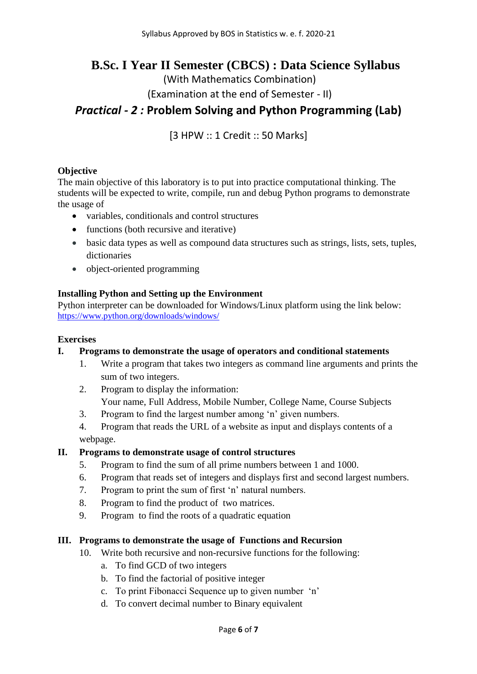## **B.Sc. I Year II Semester (CBCS) : Data Science Syllabus**

(With Mathematics Combination)

(Examination at the end of Semester - II)

## *Practical - 2 :* **Problem Solving and Python Programming (Lab)**

[3 HPW :: 1 Credit :: 50 Marks]

#### **Objective**

The main objective of this laboratory is to put into practice computational thinking. The students will be expected to write, compile, run and debug Python programs to demonstrate the usage of

- variables, conditionals and control structures
- functions (both recursive and iterative)
- basic data types as well as compound data structures such as strings, lists, sets, tuples, dictionaries
- object-oriented programming

#### **Installing Python and Setting up the Environment**

Python interpreter can be downloaded for Windows/Linux platform using the link below: <https://www.python.org/downloads/windows/>

#### **Exercises**

#### **I. Programs to demonstrate the usage of operators and conditional statements**

- 1. Write a program that takes two integers as command line arguments and prints the sum of two integers.
- 2. Program to display the information: Your name, Full Address, Mobile Number, College Name, Course Subjects
- 3. Program to find the largest number among 'n' given numbers.
- 4. Program that reads the URL of a website as input and displays contents of a webpage.

#### **II. Programs to demonstrate usage of control structures**

- 5. Program to find the sum of all prime numbers between 1 and 1000.
- 6. Program that reads set of integers and displays first and second largest numbers.
- 7. Program to print the sum of first 'n' natural numbers.
- 8. Program to find the product of two matrices.
- 9. Program to find the roots of a quadratic equation

#### **III. Programs to demonstrate the usage of Functions and Recursion**

- 10. Write both recursive and non-recursive functions for the following:
	- a. To find GCD of two integers
	- b. To find the factorial of positive integer
	- c. To print Fibonacci Sequence up to given number 'n'
	- d. To convert decimal number to Binary equivalent